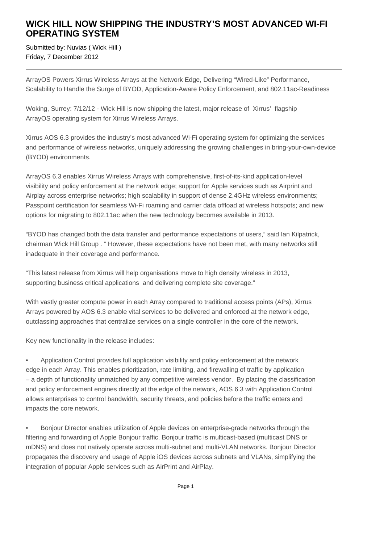# **WICK HILL NOW SHIPPING THE INDUSTRY'S MOST ADVANCED WI-FI OPERATING SYSTEM**

Submitted by: Nuvias ( Wick Hill ) Friday, 7 December 2012

ArrayOS Powers Xirrus Wireless Arrays at the Network Edge, Delivering "Wired-Like" Performance, Scalability to Handle the Surge of BYOD, Application-Aware Policy Enforcement, and 802.11ac-Readiness

Woking, Surrey: 7/12/12 - Wick Hill is now shipping the latest, major release of Xirrus' flagship ArrayOS operating system for Xirrus Wireless Arrays.

Xirrus AOS 6.3 provides the industry's most advanced Wi-Fi operating system for optimizing the services and performance of wireless networks, uniquely addressing the growing challenges in bring-your-own-device (BYOD) environments.

ArrayOS 6.3 enables Xirrus Wireless Arrays with comprehensive, first-of-its-kind application-level visibility and policy enforcement at the network edge; support for Apple services such as Airprint and Airplay across enterprise networks; high scalability in support of dense 2.4GHz wireless environments; Passpoint certification for seamless Wi-Fi roaming and carrier data offload at wireless hotspots; and new options for migrating to 802.11ac when the new technology becomes available in 2013.

"BYOD has changed both the data transfer and performance expectations of users," said Ian Kilpatrick, chairman Wick Hill Group . " However, these expectations have not been met, with many networks still inadequate in their coverage and performance.

"This latest release from Xirrus will help organisations move to high density wireless in 2013, supporting business critical applications and delivering complete site coverage."

With vastly greater compute power in each Array compared to traditional access points (APs), Xirrus Arrays powered by AOS 6.3 enable vital services to be delivered and enforced at the network edge, outclassing approaches that centralize services on a single controller in the core of the network.

Key new functionality in the release includes:

• Application Control provides full application visibility and policy enforcement at the network edge in each Array. This enables prioritization, rate limiting, and firewalling of traffic by application – a depth of functionality unmatched by any competitive wireless vendor. By placing the classification and policy enforcement engines directly at the edge of the network, AOS 6.3 with Application Control allows enterprises to control bandwidth, security threats, and policies before the traffic enters and impacts the core network.

• Bonjour Director enables utilization of Apple devices on enterprise-grade networks through the filtering and forwarding of Apple Bonjour traffic. Bonjour traffic is multicast-based (multicast DNS or mDNS) and does not natively operate across multi-subnet and multi-VLAN networks. Bonjour Director propagates the discovery and usage of Apple iOS devices across subnets and VLANs, simplifying the integration of popular Apple services such as AirPrint and AirPlay.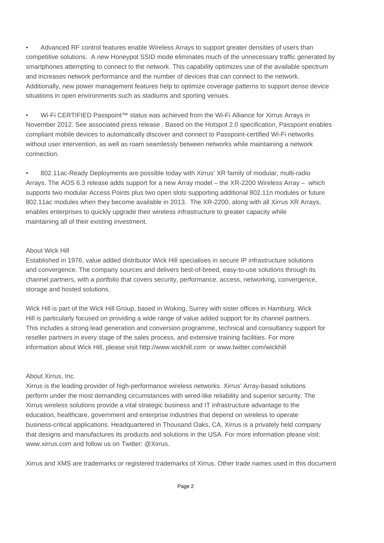• Advanced RF control features enable Wireless Arrays to support greater densities of users than competitive solutions. A new Honeypot SSID mode eliminates much of the unnecessary traffic generated by smartphones attempting to connect to the network. This capability optimizes use of the available spectrum and increases network performance and the number of devices that can connect to the network. Additionally, new power management features help to optimize coverage patterns to support dense device situations in open environments such as stadiums and sporting venues.

• Wi-Fi CERTIFIED Passpoint™ status was achieved from the Wi-Fi Alliance for Xirrus Arrays in November 2012. See associated press release . Based on the Hotspot 2.0 specification, Passpoint enables compliant mobile devices to automatically discover and connect to Passpoint-certified Wi-Fi networks without user intervention, as well as roam seamlessly between networks while maintaining a network connection.

• 802.11ac-Ready Deployments are possible today with Xirrus' XR family of modular, multi-radio Arrays. The AOS 6.3 release adds support for a new Array model – the XR-2200 Wireless Array – which supports two modular Access Points plus two open slots supporting additional 802.11n modules or future 802.11ac modules when they become available in 2013. The XR-2200, along with all Xirrus XR Arrays, enables enterprises to quickly upgrade their wireless infrastructure to greater capacity while maintaining all of their existing investment.

### About Wick Hill

Established in 1976, value added distributor Wick Hill specialises in secure IP infrastructure solutions and convergence. The company sources and delivers best-of-breed, easy-to-use solutions through its channel partners, with a portfolio that covers security, performance, access, networking, convergence, storage and hosted solutions.

Wick Hill is part of the Wick Hill Group, based in Woking, Surrey with sister offices in Hamburg. Wick Hill is particularly focused on providing a wide range of value added support for its channel partners. This includes a strong lead generation and conversion programme, technical and consultancy support for reseller partners in every stage of the sales process, and extensive training facilities. For more information about Wick Hill, please visit http://www.wickhill.com or www.twitter.com/wickhill

## About Xirrus, Inc.

Xirrus is the leading provider of high-performance wireless networks. Xirrus' Array-based solutions perform under the most demanding circumstances with wired-like reliability and superior security. The Xirrus wireless solutions provide a vital strategic business and IT infrastructure advantage to the education, healthcare, government and enterprise industries that depend on wireless to operate business-critical applications. Headquartered in Thousand Oaks, CA, Xirrus is a privately held company that designs and manufactures its products and solutions in the USA. For more information please visit: www.xirrus.com and follow us on Twitter: @Xirrus.

Xirrus and XMS are trademarks or registered trademarks of Xirrus. Other trade names used in this document